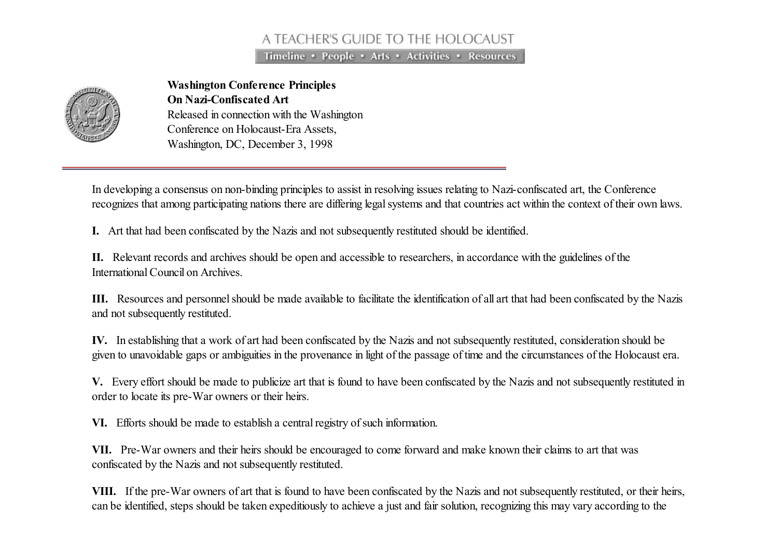## A TEACHER'S GUIDE TO THE HOLOCAUST

Timeline • People • Arts • Activities • Resources



Washington Conference Principles On Nazi-Confiscated Art Released in connection with the Washington Conference on Holocaust-Era Assets, Washington, DC, December 3, 1998

In developing a consensus on non-binding principles to assist in resolving issues relating to Nazi-confiscated art, the Conference recognizes that among participating nations there are differing legal systems and that countries act within the context of their own laws.

I. Art that had been confiscated by the Nazis and not subsequently restituted should be identified.

II. Relevant records and archives should be open and accessible to researchers, in accordance with the guidelines of the InternationalCouncil on Archives.

III. Resources and personnel should be made available to facilitate the identification of all art that had been confiscated by the Nazis and not subsequently restituted.

IV. In establishing that a work of art had been confiscated by the Nazis and not subsequently restituted, consideration should be given to unavoidable gaps or ambiguities in the provenance in light of the passage of time and the circumstances of the Holocaust era.

V. Every effort should be made to publicize art that is found to have been confiscated by the Nazis and not subsequently restituted in order to locate its pre-War owners or their heirs.

VI. Efforts should be made to establish a central registry of such information.

VII. Pre-War owners and their heirs should be encouraged to come forward and make known their claims to art that was confiscated by the Nazis and not subsequently restituted.

VIII. If the pre-War owners of art that is found to have been confiscated by the Nazis and not subsequently restituted, or their heirs, can be identified, steps should be taken expeditiously to achieve a just and fair solution, recognizing this may vary according to the